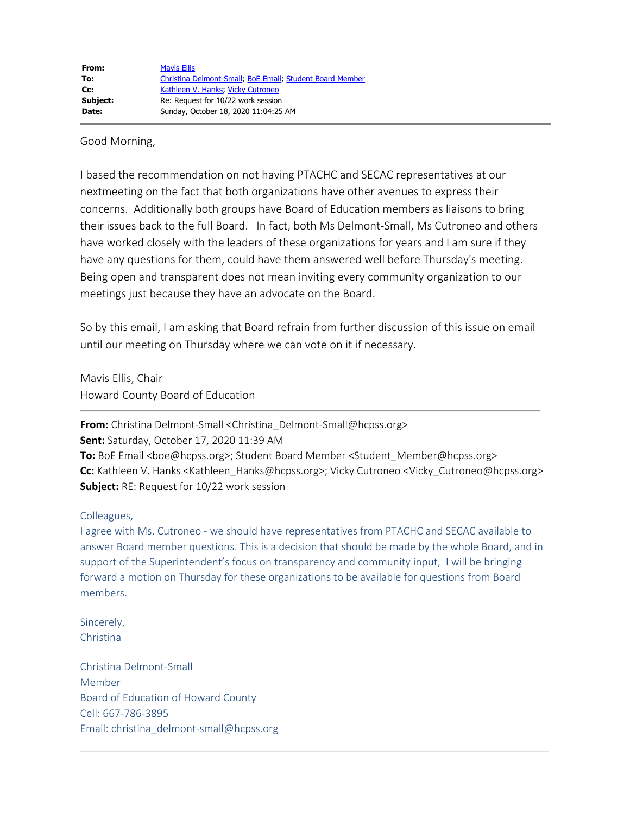Good Morning,

I based the recommendation on not having PTACHC and SECAC representatives at our nextmeeting on the fact that both organizations have other avenues to express their concerns. Additionally both groups have Board of Education members as liaisons to bring their issues back to the full Board. In fact, both Ms Delmont-Small, Ms Cutroneo and others have worked closely with the leaders of these organizations for years and I am sure if they have any questions for them, could have them answered well before Thursday's meeting. Being open and transparent does not mean inviting every community organization to our meetings just because they have an advocate on the Board.

So by this email, I am asking that Board refrain from further discussion of this issue on email until our meeting on Thursday where we can vote on it if necessary.

Mavis Ellis, Chair Howard County Board of Education

**From:** Christina Delmont-Small <Christina\_Delmont-Small@hcpss.org>

**Sent:** Saturday, October 17, 2020 11:39 AM

**To:** BoE Email <boe@hcpss.org>; Student Board Member <Student\_Member@hcpss.org> **Cc:** Kathleen V. Hanks <Kathleen\_Hanks@hcpss.org>; Vicky Cutroneo <Vicky\_Cutroneo@hcpss.org> **Subject:** RE: Request for 10/22 work session

## Colleagues,

I agree with Ms. Cutroneo - we should have representatives from PTACHC and SECAC available to answer Board member questions. This is a decision that should be made by the whole Board, and in support of the Superintendent's focus on transparency and community input, I will be bringing forward a motion on Thursday for these organizations to be available for questions from Board members.

Sincerely, Christina

Christina Delmont-Small Member Board of Education of Howard County Cell: 667-786-3895 Email: christina\_delmont-small@hcpss.org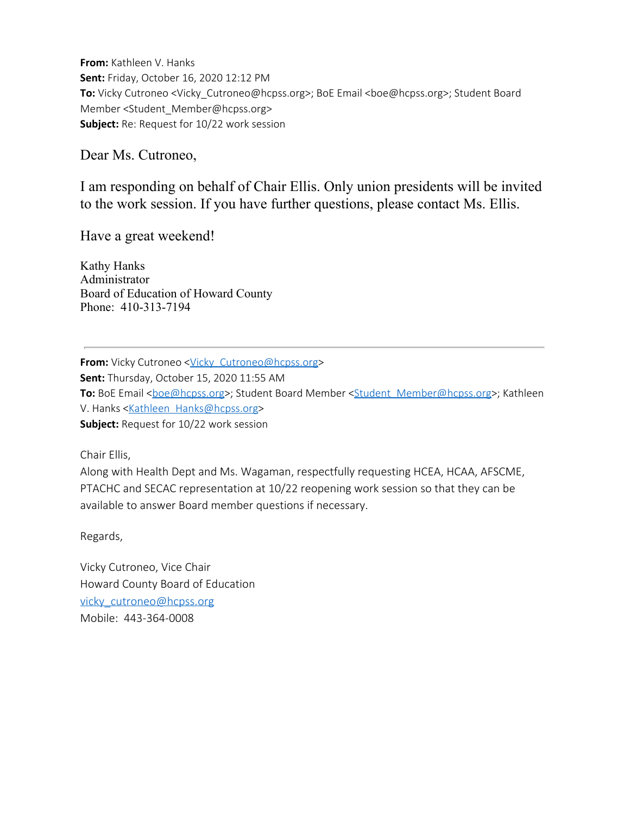**From:** Kathleen V. Hanks **Sent:** Friday, October 16, 2020 12:12 PM **To:** Vicky Cutroneo <Vicky\_Cutroneo@hcpss.org>; BoE Email <br/>boe@hcpss.org>; Student Board Member <Student\_Member@hcpss.org> **Subject:** Re: Request for 10/22 work session

Dear Ms. Cutroneo,

I am responding on behalf of Chair Ellis. Only union presidents will be invited to the work session. If you have further questions, please contact Ms. Ellis.

Have a great weekend!

Kathy Hanks Administrator Board of Education of Howard County Phone: 410-313-7194

**From:** Vicky Cutroneo <Vicky Cutroneo@hcpss.org> **Sent:** Thursday, October 15, 2020 11:55 AM **To:** BoE Email <br />
componed >>
; Student Board Member <<<<<a>
Student Member@hcpss.org>; Kathleen V. Hanks <Kathleen Hanks@hcpss.org> **Subject:** Request for 10/22 work session

Chair Ellis,

Along with Health Dept and Ms. Wagaman, respectfully requesting HCEA, HCAA, AFSCME, PTACHC and SECAC representation at 10/22 reopening work session so that they can be available to answer Board member questions if necessary.

Regards,

Vicky Cutroneo, Vice Chair Howard County Board of Education vicky\_cutroneo@hcpss.org Mobile: 443-364-0008